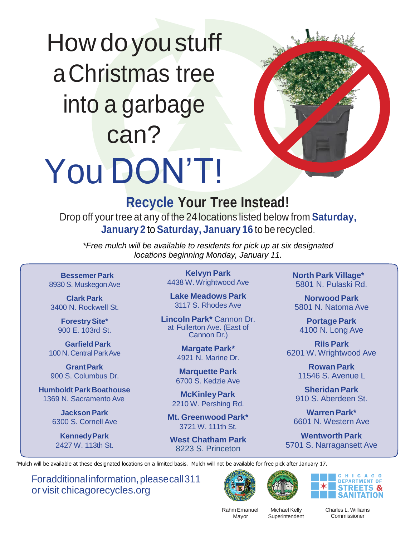## How do you stuff aChristmas tree into a garbage can? You DON'T!



## **Recycle Your Tree Instead!**

Drop off your tree at any of the 24 locations listed below from **Saturday, January 2** to**Saturday, January 16** to be recycled.

*\*Free mulch will be available to residents for pick up at six designated locations beginning Monday, January 11.*

**Bessemer Park** 8930 S. Muskegon Ave

**Clark Park** 3400 N. Rockwell St.

> **ForestrySite\*** 900 E. 103rd St.

**GarfieldPark** 100 N. Central Park Ave

**GrantPark** 900 S. Columbus Dr.

**HumboldtPark Boathouse** 1369 N. Sacramento Ave

> **JacksonPark** 6300 S. Cornell Ave

**KennedyPark** 2427 W. 113th St.

**Kelvyn Park** 4438 W. Wrightwood Ave

**Lake Meadows Park** 3117 S. Rhodes Ave

**Lincoln Park\*** Cannon Dr. at Fullerton Ave. (East of Cannon Dr.)

> **Margate Park\*** 4921 N. Marine Dr.

**Marquette Park** 6700 S. Kedzie Ave

**McKinleyPark** 2210 W. Pershing Rd.

**Mt. Greenwood Park\*** 3721 W. 111th St.

**West Chatham Park** 8223 S. Princeton

**North Park Village\*** 5801 N. Pulaski Rd.

**NorwoodPark** 5801 N. Natoma Ave

**Portage Park** 4100 N. Long Ave

**Riis Park** 6201 W. Wrightwood Ave

> **Rowan Park** 11546 S. Avenue L

**SheridanPark** 910 S. Aberdeen St.

**Warren Park\*** 6601 N. Western Ave

**Wentworth Park** 5701 S. Narragansett Ave

\*Mulch will be available at these designated locations on a limited basis. Mulch will not be available for free pick after January 17.

Foradditional information, please call 311 or visit chicagorecycles.org







Rahm Emanuel Mayor

Michael Kelly **Superintendent**  Charles L. Williams Commissioner